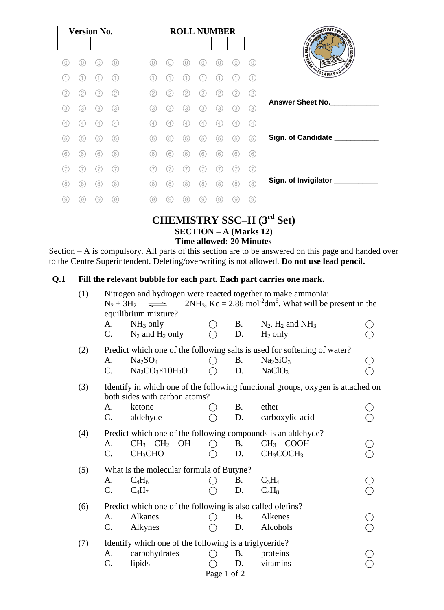| <b>Version No.</b> |     |     |     |  |     |     |     | <b>ROLL NUMBER</b> |                   |     |     |
|--------------------|-----|-----|-----|--|-----|-----|-----|--------------------|-------------------|-----|-----|
|                    |     |     |     |  |     |     |     |                    |                   |     |     |
| 0)                 | O   | 0   | 0)  |  | (0) | 0)  | 0   | 0                  | 0                 | 0   | 0)  |
|                    | 1.  |     | 11  |  | (1  | 1   |     | (1)                |                   |     |     |
| 2                  | 2.  | (2) | (2) |  | 2   | 2   | 2.  | 2                  | 2                 |     | (2) |
| (3)                | 3)  | (3) | 3   |  | (3) | (3) | (3) | 3)                 | 3                 | (3) | (3) |
| $\left( 4\right)$  | (4) | (4) | 4   |  | (4) | (4  | (4) | (4)                | $\left( 4\right)$ | (4) | (4) |
| (5)                | (5) | (5) | (5) |  | (5) | (5) | (5) | 5                  | (5)               | (5) | (5) |
| (6)                | 6   | (6) | (6) |  | (6) | 6   | (6) | (6)                | 6                 | (6) | (6) |
|                    |     |     | 7   |  |     |     |     |                    |                   |     | (7  |
| (8)                | (8) | (8) | (8) |  | (8) | (8) | (8) | (8)                | 8.                | (8) | (8) |
| 9                  | 9   | (9) | (9) |  | (9) | (9) | 9   | (9)                | 9                 | 9   | (9) |

### **CHEMISTRY SSC–II (3 rd Set) SECTION – A (Marks 12) Time allowed: 20 Minutes**

Section – A is compulsory. All parts of this section are to be answered on this page and handed over to the Centre Superintendent. Deleting/overwriting is not allowed. **Do not use lead pencil.**

#### **Q.1 Fill the relevant bubble for each part. Each part carries one mark.**

| (1) | Nitrogen and hydrogen were reacted together to make ammonia:<br>$2NH_3$ , Kc = 2.86 mol <sup>-2</sup> dm <sup>6</sup> . What will be present in the<br>$N_2 + 3H_2$<br>$\implies$<br>equilibrium mixture? |                                 |             |           |                                   |  |  |  |  |  |  |  |
|-----|-----------------------------------------------------------------------------------------------------------------------------------------------------------------------------------------------------------|---------------------------------|-------------|-----------|-----------------------------------|--|--|--|--|--|--|--|
|     | A.                                                                                                                                                                                                        | $NH3$ only                      |             | <b>B.</b> | $N_2$ , $H_2$ and $NH_3$          |  |  |  |  |  |  |  |
|     | C.                                                                                                                                                                                                        | $N_2$ and $H_2$ only            |             | D.        | $H_2$ only                        |  |  |  |  |  |  |  |
| (2) | Predict which one of the following salts is used for softening of water?                                                                                                                                  |                                 |             |           |                                   |  |  |  |  |  |  |  |
|     | A.                                                                                                                                                                                                        | Na <sub>2</sub> SO <sub>4</sub> |             | <b>B.</b> | Na <sub>2</sub> SiO <sub>3</sub>  |  |  |  |  |  |  |  |
|     | C.                                                                                                                                                                                                        | $Na2CO3×10H2O$                  |             | D.        | NaClO <sub>3</sub>                |  |  |  |  |  |  |  |
| (3) | Identify in which one of the following functional groups, oxygen is attached on<br>both sides with carbon atoms?                                                                                          |                                 |             |           |                                   |  |  |  |  |  |  |  |
|     | A.                                                                                                                                                                                                        | ketone                          |             | <b>B.</b> | ether                             |  |  |  |  |  |  |  |
|     | $C$ .                                                                                                                                                                                                     | aldehyde                        |             | D.        | carboxylic acid                   |  |  |  |  |  |  |  |
| (4) | Predict which one of the following compounds is an aldehyde?                                                                                                                                              |                                 |             |           |                                   |  |  |  |  |  |  |  |
|     | A.                                                                                                                                                                                                        | $CH_3-CH_2-OH$                  |             | <b>B.</b> | $CH3 - COOH$                      |  |  |  |  |  |  |  |
|     | $C$ .                                                                                                                                                                                                     | CH <sub>3</sub> CHO             |             | D.        | CH <sub>3</sub> COCH <sub>3</sub> |  |  |  |  |  |  |  |
| (5) | What is the molecular formula of Butyne?                                                                                                                                                                  |                                 |             |           |                                   |  |  |  |  |  |  |  |
|     | A.                                                                                                                                                                                                        | $C_4H_6$                        |             | <b>B.</b> | $C_3H_4$                          |  |  |  |  |  |  |  |
|     | C.                                                                                                                                                                                                        | $C_4H_7$                        |             | D.        | $C_4H_8$                          |  |  |  |  |  |  |  |
| (6) | Predict which one of the following is also called olefins?                                                                                                                                                |                                 |             |           |                                   |  |  |  |  |  |  |  |
|     | A.                                                                                                                                                                                                        | Alkanes                         |             | <b>B.</b> | Alkenes                           |  |  |  |  |  |  |  |
|     | C.                                                                                                                                                                                                        | Alkynes                         |             | D.        | Alcohols                          |  |  |  |  |  |  |  |
| (7) | Identify which one of the following is a triglyceride?                                                                                                                                                    |                                 |             |           |                                   |  |  |  |  |  |  |  |
|     | carbohydrates<br>A.<br><b>B.</b><br>proteins                                                                                                                                                              |                                 |             |           |                                   |  |  |  |  |  |  |  |
|     | $\mathcal{C}$ .                                                                                                                                                                                           | lipids                          |             | D.        | vitamins                          |  |  |  |  |  |  |  |
|     |                                                                                                                                                                                                           |                                 | Page 1 of 2 |           |                                   |  |  |  |  |  |  |  |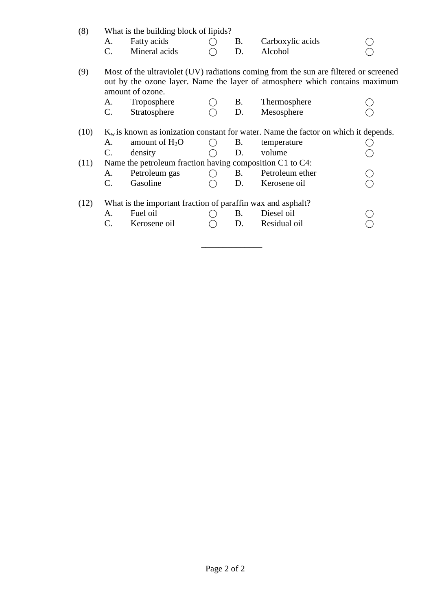| Fatty acids<br>Carboxylic acids<br>Β.<br>А.<br>Mineral acids<br>C.<br>Alcohol<br>D.<br>(9)<br>amount of ozone.<br>Troposphere<br>Thermosphere<br>В.<br>A.<br>$\mathbf{C}$ .<br>Stratosphere<br>Mesosphere<br>D.<br>(10)<br>amount of $H_2O$<br>А.<br>В.<br>temperature<br>( )<br>$\mathbf{C}$ .<br>density<br>volume<br>D.<br>Name the petroleum fraction having composition C1 to C4:<br>(11)<br>Petroleum ether<br>Petroleum gas<br>B.<br>A.<br>Gasoline<br>C.<br>D.<br>Kerosene oil | What is the building block of lipids?                                                 |  |  |  |  |  |  |  |  |  |  |  |
|----------------------------------------------------------------------------------------------------------------------------------------------------------------------------------------------------------------------------------------------------------------------------------------------------------------------------------------------------------------------------------------------------------------------------------------------------------------------------------------|---------------------------------------------------------------------------------------|--|--|--|--|--|--|--|--|--|--|--|
|                                                                                                                                                                                                                                                                                                                                                                                                                                                                                        |                                                                                       |  |  |  |  |  |  |  |  |  |  |  |
|                                                                                                                                                                                                                                                                                                                                                                                                                                                                                        |                                                                                       |  |  |  |  |  |  |  |  |  |  |  |
|                                                                                                                                                                                                                                                                                                                                                                                                                                                                                        | Most of the ultraviolet (UV) radiations coming from the sun are filtered or screened  |  |  |  |  |  |  |  |  |  |  |  |
|                                                                                                                                                                                                                                                                                                                                                                                                                                                                                        | out by the ozone layer. Name the layer of atmosphere which contains maximum           |  |  |  |  |  |  |  |  |  |  |  |
|                                                                                                                                                                                                                                                                                                                                                                                                                                                                                        |                                                                                       |  |  |  |  |  |  |  |  |  |  |  |
|                                                                                                                                                                                                                                                                                                                                                                                                                                                                                        |                                                                                       |  |  |  |  |  |  |  |  |  |  |  |
|                                                                                                                                                                                                                                                                                                                                                                                                                                                                                        | $K_w$ is known as ionization constant for water. Name the factor on which it depends. |  |  |  |  |  |  |  |  |  |  |  |
|                                                                                                                                                                                                                                                                                                                                                                                                                                                                                        |                                                                                       |  |  |  |  |  |  |  |  |  |  |  |
|                                                                                                                                                                                                                                                                                                                                                                                                                                                                                        |                                                                                       |  |  |  |  |  |  |  |  |  |  |  |
|                                                                                                                                                                                                                                                                                                                                                                                                                                                                                        |                                                                                       |  |  |  |  |  |  |  |  |  |  |  |
|                                                                                                                                                                                                                                                                                                                                                                                                                                                                                        |                                                                                       |  |  |  |  |  |  |  |  |  |  |  |
|                                                                                                                                                                                                                                                                                                                                                                                                                                                                                        |                                                                                       |  |  |  |  |  |  |  |  |  |  |  |
| What is the important fraction of paraffin wax and asphalt?                                                                                                                                                                                                                                                                                                                                                                                                                            |                                                                                       |  |  |  |  |  |  |  |  |  |  |  |
| Fuel oil<br>Diesel oil<br>В.<br>A.                                                                                                                                                                                                                                                                                                                                                                                                                                                     |                                                                                       |  |  |  |  |  |  |  |  |  |  |  |
| Residual oil<br>C.<br>Kerosene oil<br>D.                                                                                                                                                                                                                                                                                                                                                                                                                                               |                                                                                       |  |  |  |  |  |  |  |  |  |  |  |

\_\_\_\_\_\_\_\_\_\_\_\_\_\_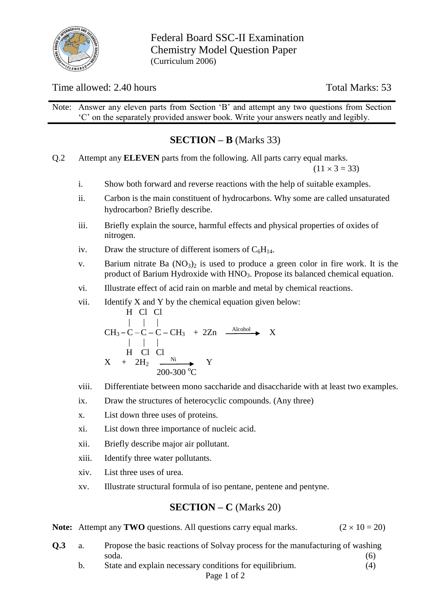

Federal Board SSC-II Examination Chemistry Model Question Paper (Curriculum 2006)

### Time allowed: 2.40 hours Total Marks: 53

Note: Answer any eleven parts from Section 'B' and attempt any two questions from Section 'C' on the separately provided answer book. Write your answers neatly and legibly.

# **SECTION – B** (Marks 33)

Q.2 Attempt any **ELEVEN** parts from the following. All parts carry equal marks.

 $(11 \times 3 = 33)$ 

- i. Show both forward and reverse reactions with the help of suitable examples.
- ii. Carbon is the main constituent of hydrocarbons. Why some are called unsaturated hydrocarbon? Briefly describe.
- iii. Briefly explain the source, harmful effects and physical properties of oxides of nitrogen.
- iv. Draw the structure of different isomers of  $C_6H_{14}$ .
- v. Barium nitrate Ba  $(NO<sub>3</sub>)<sub>2</sub>$  is used to produce a green color in fire work. It is the product of Barium Hydroxide with HNO<sub>3</sub>. Propose its balanced chemical equation.
- vi. Illustrate effect of acid rain on marble and metal by chemical reactions.
- vii. Identify  $X$  and  $Y$  by the chemical equation given below:

H Cl Cl  
\n
$$
\begin{array}{cccc}\n & | & | & | \\
\text{CH}_3-C-C-C-C-H_3 & + & 2\text{Zn} & \xrightarrow{\text{Alcohol}} & X \\
& | & | & | & \text{H} & \text{Cl} & \text{Cl} \\
& X & + & 2\text{H}_2 & \xrightarrow{\text{Ni}} & Y \\
& 200-300\text{ °C} & & & & \n\end{array}
$$

- viii. Differentiate between mono saccharide and disaccharide with at least two examples.
- ix. Draw the structures of heterocyclic compounds. (Any three)
- x. List down three uses of proteins.
- xi. List down three importance of nucleic acid.
- xii. Briefly describe major air pollutant.
- xiii. Identify three water pollutants.
- xiv. List three uses of urea.
- xv. Illustrate structural formula of iso pentane, pentene and pentyne.

### **SECTION – C** (Marks 20)

|  | <b>Note:</b> Attempt any <b>TWO</b> questions. All questions carry equal marks. |  |  | $(2 \times 10 = 20)$ |
|--|---------------------------------------------------------------------------------|--|--|----------------------|
|--|---------------------------------------------------------------------------------|--|--|----------------------|

- **Q.3** a. Propose the basic reactions of Solvay process for the manufacturing of washing soda. (6)
	- b. State and explain necessary conditions for equilibrium. (4)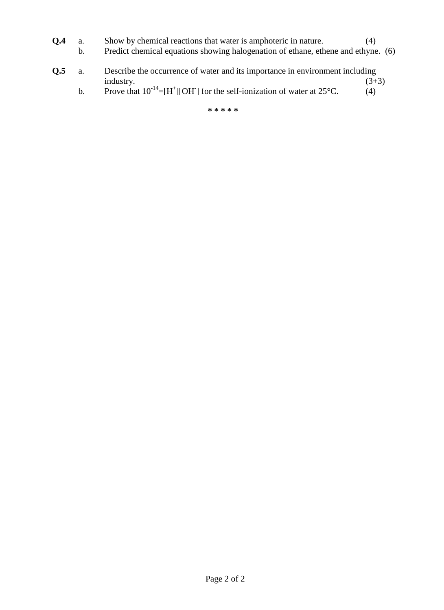- **Q.4** a. Show by chemical reactions that water is amphoteric in nature. (4)
	- b. Predict chemical equations showing halogenation of ethane, ethene and ethyne. (6)
- **Q.5** a. Describe the occurrence of water and its importance in environment including industry. (3+3)  $industry.$   $(3+3)$ 
	- b. Prove that  $10^{-14} = [H^+][OH]$  for the self-ionization of water at 25°C. (4)

**\* \* \* \* \***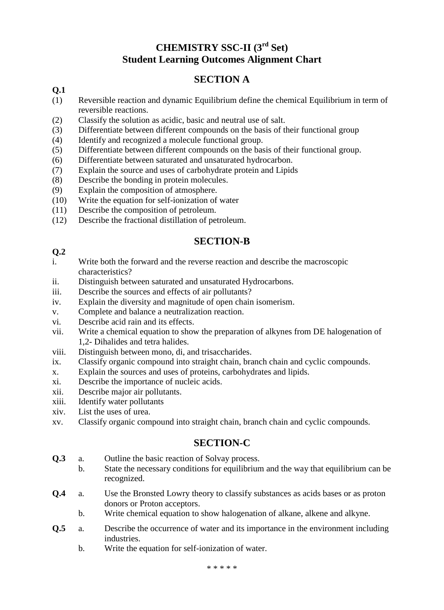# **CHEMISTRY SSC-II (3rd Set) Student Learning Outcomes Alignment Chart**

# **SECTION A**

### **Q.1**

- (1) Reversible reaction and dynamic Equilibrium define the chemical Equilibrium in term of reversible reactions.
- (2) Classify the solution as acidic, basic and neutral use of salt.
- (3) Differentiate between different compounds on the basis of their functional group
- (4) Identify and recognized a molecule functional group.
- (5) Differentiate between different compounds on the basis of their functional group.
- (6) Differentiate between saturated and unsaturated hydrocarbon.
- (7) Explain the source and uses of carbohydrate protein and Lipids
- (8) Describe the bonding in protein molecules.
- (9) Explain the composition of atmosphere.
- (10) Write the equation for self-ionization of water
- (11) Describe the composition of petroleum.
- (12) Describe the fractional distillation of petroleum.

### **SECTION-B**

### **Q.2**

- i. Write both the forward and the reverse reaction and describe the macroscopic characteristics?
- ii. Distinguish between saturated and unsaturated Hydrocarbons.
- iii. Describe the sources and effects of air pollutants?
- iv. Explain the diversity and magnitude of open chain isomerism.
- v. Complete and balance a neutralization reaction.
- vi. Describe acid rain and its effects.
- vii. Write a chemical equation to show the preparation of alkynes from DE halogenation of 1,2- Dihalides and tetra halides.
- viii. Distinguish between mono, di, and trisaccharides.
- ix. Classify organic compound into straight chain, branch chain and cyclic compounds.
- x. Explain the sources and uses of proteins, carbohydrates and lipids.
- xi. Describe the importance of nucleic acids.
- xii. Describe major air pollutants.
- xiii. Identify water pollutants
- xiv. List the uses of urea.
- xv. Classify organic compound into straight chain, branch chain and cyclic compounds.

# **SECTION-C**

- **Q.3** a. Outline the basic reaction of Solvay process.
	- b. State the necessary conditions for equilibrium and the way that equilibrium can be recognized.
- **Q.4** a. Use the Bronsted Lowry theory to classify substances as acids bases or as proton donors or Proton acceptors.
	- b. Write chemical equation to show halogenation of alkane, alkene and alkyne.
- **Q.5** a. Describe the occurrence of water and its importance in the environment including industries.
	- b. Write the equation for self-ionization of water.